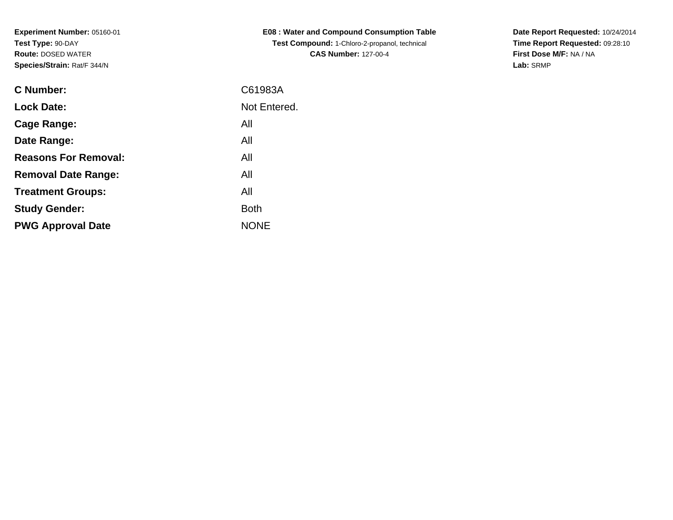**Experiment Number:** 05160-01**Test Type:** 90-DAY **Route:** DOSED WATER**Species/Strain:** 

**Treatment Groups:**

**PWG Approval Date**

**Study Gender:**

| Species/Strain: Rat/F 344/N |              |
|-----------------------------|--------------|
| C Number:                   | C61983A      |
| <b>Lock Date:</b>           | Not Entered. |
| Cage Range:                 | All          |
| Date Range:                 | All          |
| <b>Reasons For Removal:</b> | All          |
| <b>Removal Date Range:</b>  | All          |

NONE

All

**Example 1** South 2 and 2 and 2 and 2 and 2 and 2 and 2 and 2 and 2 and 2 and 2 and 2 and 2 and 2 and 2 and 2 an

**E08 : Water and Compound Consumption TableTest Compound:** 1-Chloro-2-propanol, technical **CAS Number:** 127-00-4

**Date Report Requested:** 10/24/2014**Time Report Requested:** 09:28:10**First Dose M/F:** NA / NA**Lab:** SRMP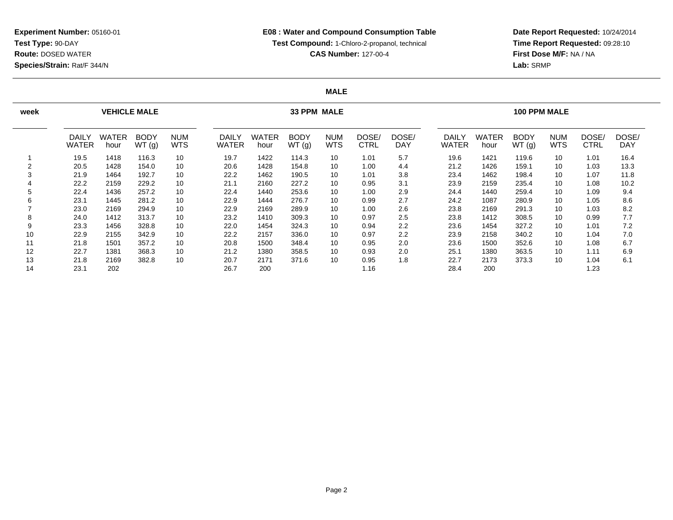**Date Report Requested:** 10/24/2014 **Time Report Requested:** 09:28:10**First Dose M/F:** NA / NA**Lab:** SRMP

#### **MALE**

| week   |                              | <b>VEHICLE MALE</b>  |                      |                          |                       | 33 PPM MALE          |                      |                          |                      |                     |                       |                      | <b>100 PPM MALE</b>  |                          |               |                     |  |  |
|--------|------------------------------|----------------------|----------------------|--------------------------|-----------------------|----------------------|----------------------|--------------------------|----------------------|---------------------|-----------------------|----------------------|----------------------|--------------------------|---------------|---------------------|--|--|
|        | <b>DAILY</b><br><b>WATER</b> | <b>WATER</b><br>hour | <b>BODY</b><br>WT(g) | <b>NUM</b><br><b>WTS</b> | DAILY<br><b>WATER</b> | <b>WATER</b><br>hour | <b>BODY</b><br>WT(g) | <b>NUM</b><br><b>WTS</b> | DOSE/<br><b>CTRL</b> | DOSE/<br><b>DAY</b> | DAILY<br><b>WATER</b> | <b>WATER</b><br>hour | <b>BODY</b><br>WT(g) | <b>NUM</b><br><b>WTS</b> | DOSE/<br>CTRL | DOSE/<br><b>DAY</b> |  |  |
|        | 19.5                         | 1418                 | 116.3                | 10                       | 19.7                  | 1422                 | 114.3                | 10                       | 1.01                 | 5.7                 | 19.6                  | 1421                 | 119.6                | 10                       | 1.01          | 16.4                |  |  |
| $\sim$ | 20.5                         | 1428                 | 154.0                | 10                       | 20.6                  | 1428                 | 154.8                | 10                       | 1.00                 | 4.4                 | 21.2                  | 1426                 | 159.1                | 10                       | 1.03          | 13.3                |  |  |
|        | 21.9                         | 1464                 | 192.7                | 10                       | 22.2                  | 1462                 | 190.5                | 10                       | 1.01                 | 3.8                 | 23.4                  | 1462                 | 198.4                | 10                       | 1.07          | 11.8                |  |  |
|        | 22.2                         | 2159                 | 229.2                | 10                       | 21.1                  | 2160                 | 227.2                | 10                       | 0.95                 | 3.1                 | 23.9                  | 2159                 | 235.4                | 10                       | 1.08          | 10.2                |  |  |
| 5      | 22.4                         | 1436                 | 257.2                | 10                       | 22.4                  | 1440                 | 253.6                | 10                       | 1.00                 | 2.9                 | 24.4                  | 1440                 | 259.4                | 10                       | 1.09          | 9.4                 |  |  |
| 6      | 23.1                         | 1445                 | 281.2                | 10                       | 22.9                  | 1444                 | 276.7                | 10                       | 0.99                 | 2.7                 | 24.2                  | 1087                 | 280.9                | 10                       | 1.05          | 8.6                 |  |  |
|        | 23.0                         | 2169                 | 294.9                | 10                       | 22.9                  | 2169                 | 289.9                | 10                       | 1.00                 | 2.6                 | 23.8                  | 2169                 | 291.3                | 10                       | 1.03          | 8.2                 |  |  |
| 8      | 24.0                         | 1412                 | 313.7                | 10                       | 23.2                  | 1410                 | 309.3                | 10                       | 0.97                 | 2.5                 | 23.8                  | 1412                 | 308.5                | 10                       | 0.99          | 7.7                 |  |  |
| 9      | 23.3                         | 1456                 | 328.8                | 10                       | 22.0                  | 1454                 | 324.3                | 10                       | 0.94                 | 2.2                 | 23.6                  | 1454                 | 327.2                | 10                       | 1.01          | 7.2                 |  |  |
| 10     | 22.9                         | 2155                 | 342.9                | 10                       | 22.2                  | 2157                 | 336.0                | 10                       | 0.97                 | 2.2                 | 23.9                  | 2158                 | 340.2                | 10                       | 1.04          | 7.0                 |  |  |
| 11     | 21.8                         | 1501                 | 357.2                | 10                       | 20.8                  | 1500                 | 348.4                | 10                       | 0.95                 | 2.0                 | 23.6                  | 1500                 | 352.6                | 10                       | 1.08          | 6.7                 |  |  |
| 12     | 22.7                         | 1381                 | 368.3                | 10                       | 21.2                  | 1380                 | 358.5                | 10                       | 0.93                 | 2.0                 | 25.1                  | 1380                 | 363.5                | 10                       | 1.11          | 6.9                 |  |  |
| 13     | 21.8                         | 2169                 | 382.8                | 10                       | 20.7                  | 2171                 | 371.6                | 10                       | 0.95                 | 1.8                 | 22.7                  | 2173                 | 373.3                | 10                       | 1.04          | 6.1                 |  |  |
| 14     | 23.1                         | 202                  |                      |                          | 26.7                  | 200                  |                      |                          | 1.16                 |                     | 28.4                  | 200                  |                      |                          | 1.23          |                     |  |  |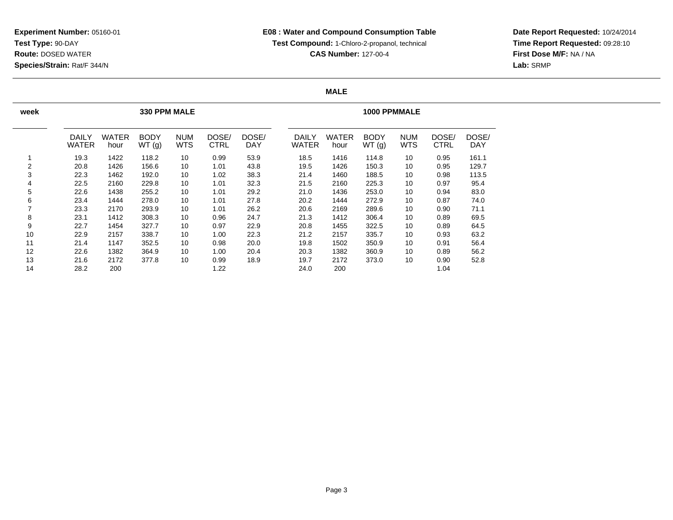**Date Report Requested:** 10/24/2014 **Time Report Requested:** 09:28:10**First Dose M/F:** NA / NA**Lab:** SRMP

#### **MALE**

| week           |                       |                      | <b>330 PPM MALE</b>  |                   |               |              | <b>1000 PPMMALE</b> |                       |               |                      |                          |                      |                     |  |
|----------------|-----------------------|----------------------|----------------------|-------------------|---------------|--------------|---------------------|-----------------------|---------------|----------------------|--------------------------|----------------------|---------------------|--|
|                | <b>DAILY</b><br>WATER | <b>WATER</b><br>hour | <b>BODY</b><br>WT(g) | <b>NUM</b><br>WTS | DOSE/<br>CTRL | DOSE/<br>DAY |                     | <b>DAILY</b><br>WATER | WATER<br>hour | <b>BODY</b><br>WT(g) | <b>NUM</b><br><b>WTS</b> | DOSE/<br><b>CTRL</b> | DOSE/<br><b>DAY</b> |  |
|                | 19.3                  | 1422                 | 118.2                | 10                | 0.99          | 53.9         |                     | 18.5                  | 1416          | 114.8                | 10                       | 0.95                 | 161.1               |  |
| $\overline{2}$ | 20.8                  | 1426                 | 156.6                | 10                | 1.01          | 43.8         |                     | 19.5                  | 1426          | 150.3                | 10                       | 0.95                 | 129.7               |  |
| 3              | 22.3                  | 1462                 | 192.0                | 10                | 1.02          | 38.3         |                     | 21.4                  | 1460          | 188.5                | 10                       | 0.98                 | 113.5               |  |
| 4              | 22.5                  | 2160                 | 229.8                | 10                | 1.01          | 32.3         |                     | 21.5                  | 2160          | 225.3                | 10                       | 0.97                 | 95.4                |  |
| 5              | 22.6                  | 1438                 | 255.2                | 10                | 1.01          | 29.2         |                     | 21.0                  | 1436          | 253.0                | 10                       | 0.94                 | 83.0                |  |
| 6              | 23.4                  | 1444                 | 278.0                | 10                | 1.01          | 27.8         |                     | 20.2                  | 1444          | 272.9                | 10                       | 0.87                 | 74.0                |  |
| 7              | 23.3                  | 2170                 | 293.9                | 10                | 1.01          | 26.2         |                     | 20.6                  | 2169          | 289.6                | 10                       | 0.90                 | 71.1                |  |
| 8              | 23.1                  | 1412                 | 308.3                | 10                | 0.96          | 24.7         |                     | 21.3                  | 1412          | 306.4                | 10                       | 0.89                 | 69.5                |  |
| 9              | 22.7                  | 1454                 | 327.7                | 10                | 0.97          | 22.9         |                     | 20.8                  | 1455          | 322.5                | 10                       | 0.89                 | 64.5                |  |
| 10             | 22.9                  | 2157                 | 338.7                | 10                | 1.00          | 22.3         |                     | 21.2                  | 2157          | 335.7                | 10                       | 0.93                 | 63.2                |  |
| 11             | 21.4                  | 1147                 | 352.5                | 10                | 0.98          | 20.0         |                     | 19.8                  | 1502          | 350.9                | 10                       | 0.91                 | 56.4                |  |
| 12             | 22.6                  | 1382                 | 364.9                | 10                | 1.00          | 20.4         |                     | 20.3                  | 1382          | 360.9                | 10                       | 0.89                 | 56.2                |  |
| 13             | 21.6                  | 2172                 | 377.8                | 10                | 0.99          | 18.9         |                     | 19.7                  | 2172          | 373.0                | 10                       | 0.90                 | 52.8                |  |
| 14             | 28.2                  | 200                  |                      |                   | 1.22          |              |                     | 24.0                  | 200           |                      |                          | 1.04                 |                     |  |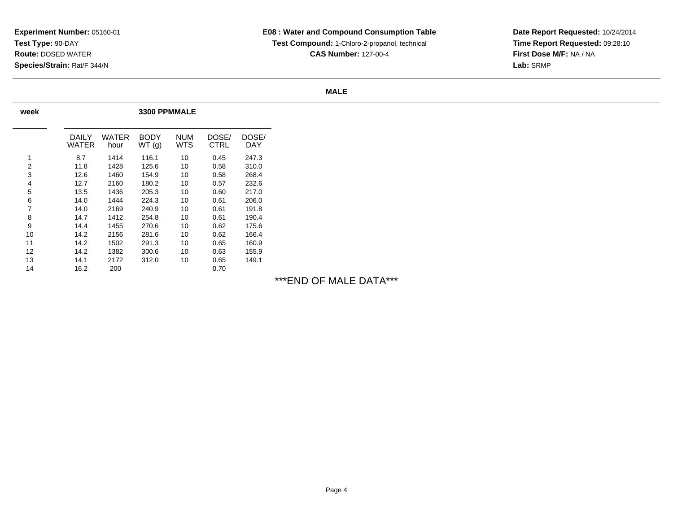**Date Report Requested:** 10/24/2014 **Time Report Requested:** 09:28:10**First Dose M/F:** NA / NA**Lab:** SRMP

#### **MALE**

| week |                |                      |                      | 3300 PPMMALE      |               |              |  |  |  |  |  |  |
|------|----------------|----------------------|----------------------|-------------------|---------------|--------------|--|--|--|--|--|--|
|      | DAILY<br>WATER | <b>WATER</b><br>hour | <b>BODY</b><br>WT(g) | <b>NUM</b><br>WTS | DOSE/<br>CTRL | DOSE/<br>DAY |  |  |  |  |  |  |
| 1    | 8.7            | 1414                 | 116.1                | 10                | 0.45          | 247.3        |  |  |  |  |  |  |
| 2    | 11.8           | 1428                 | 125.6                | 10                | 0.58          | 310.0        |  |  |  |  |  |  |
| 3    | 12.6           | 1460                 | 154.9                | 10                | 0.58          | 268.4        |  |  |  |  |  |  |
| 4    | 12.7           | 2160                 | 180.2                | 10                | 0.57          | 232.6        |  |  |  |  |  |  |
| 5    | 13.5           | 1436                 | 205.3                | 10                | 0.60          | 217.0        |  |  |  |  |  |  |
| 6    | 14.0           | 1444                 | 224.3                | 10                | 0.61          | 206.0        |  |  |  |  |  |  |
| 7    | 14.0           | 2169                 | 240.9                | 10                | 0.61          | 191.8        |  |  |  |  |  |  |
| 8    | 14.7           | 1412                 | 254.8                | 10                | 0.61          | 190.4        |  |  |  |  |  |  |
| 9    | 14.4           | 1455                 | 270.6                | 10                | 0.62          | 175.6        |  |  |  |  |  |  |
| 10   | 14.2           | 2156                 | 281.6                | 10                | 0.62          | 166.4        |  |  |  |  |  |  |
| 11   | 14.2           | 1502                 | 291.3                | 10                | 0.65          | 160.9        |  |  |  |  |  |  |
| 12   | 14.2           | 1382                 | 300.6                | 10                | 0.63          | 155.9        |  |  |  |  |  |  |
| 13   | 14.1           | 2172                 | 312.0                | 10                | 0.65          | 149.1        |  |  |  |  |  |  |
| 14   | 16.2           | 200                  |                      |                   | 0.70          |              |  |  |  |  |  |  |

## \*\*\*END OF MALE DATA\*\*\*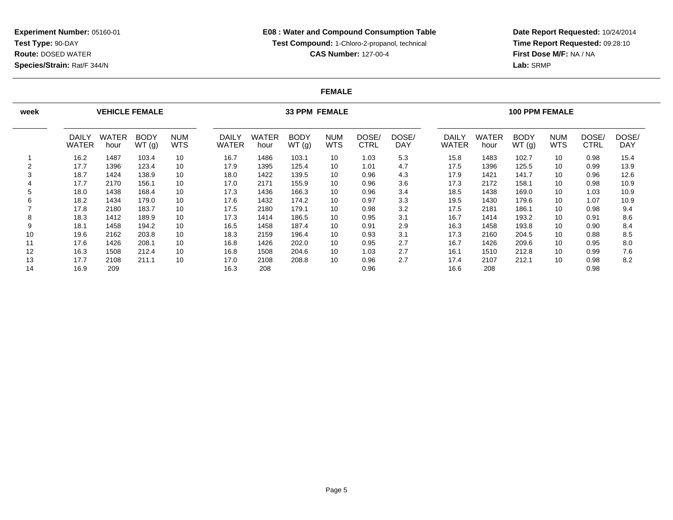**Date Report Requested:** 10/24/2014 **Time Report Requested:** 09:28:10**First Dose M/F:** NA / NA**Lab:** SRMP

#### **FEMALE**

| week   |                              | <b>VEHICLE FEMALE</b> |                      |                          |                              |                      | <b>33 PPM FEMALE</b> |                          |                      | <b>100 PPM FEMALE</b> |                       |               |                      |                          |                      |                     |
|--------|------------------------------|-----------------------|----------------------|--------------------------|------------------------------|----------------------|----------------------|--------------------------|----------------------|-----------------------|-----------------------|---------------|----------------------|--------------------------|----------------------|---------------------|
|        | <b>DAILY</b><br><b>WATER</b> | WATER<br>hour         | <b>BODY</b><br>WT(g) | <b>NUM</b><br><b>WTS</b> | <b>DAILY</b><br><b>WATER</b> | <b>WATER</b><br>hour | <b>BODY</b><br>WT(g) | <b>NUM</b><br><b>WTS</b> | DOSE/<br><b>CTRL</b> | DOSE/<br><b>DAY</b>   | DAILY<br><b>WATER</b> | WATER<br>hour | <b>BODY</b><br>WT(g) | <b>NUM</b><br><b>WTS</b> | DOSE/<br><b>CTRL</b> | DOSE/<br><b>DAY</b> |
|        | 16.2                         | 1487                  | 103.4                | 10                       | 16.7                         | 1486                 | 103.1                | 10                       | 1.03                 | 5.3                   | 15.8                  | 1483          | 102.7                | 10                       | 0.98                 | 15.4                |
| $\sim$ | 17.7                         | 1396                  | 123.4                | 10                       | 17.9                         | 1395                 | 125.4                | 10                       | 1.01                 | 4.7                   | 17.5                  | 1396          | 125.5                | 10                       | 0.99                 | 13.9                |
|        | 18.7                         | 1424                  | 138.9                | 10                       | 18.0                         | 1422                 | 139.5                | 10                       | 0.96                 | 4.3                   | 17.9                  | 1421          | 141.7                | 10                       | 0.96                 | 12.6                |
|        | 17.7                         | 2170                  | 156.1                | 10                       | 17.0                         | 2171                 | 155.9                | 10                       | 0.96                 | 3.6                   | 17.3                  | 2172          | 158.1                | 10                       | 0.98                 | 10.9                |
|        | 18.0                         | 1438                  | 168.4                | 10                       | 17.3                         | 1436                 | 166.3                | 10                       | 0.96                 | 3.4                   | 18.5                  | 1438          | 169.0                | 10                       | 1.03                 | 10.9                |
| 6      | 18.2                         | 1434                  | 179.0                | 10                       | 17.6                         | 1432                 | 174.2                | 10                       | 0.97                 | 3.3                   | 19.5                  | 1430          | 179.6                | 10                       | 1.07                 | 10.9                |
|        | 17.8                         | 2180                  | 183.7                | 10                       | 17.5                         | 2180                 | 179.1                | 10                       | 0.98                 | 3.2                   | 17.5                  | 2181          | 186.1                | 10                       | 0.98                 | 9.4                 |
| 8      | 18.3                         | 1412                  | 189.9                | 10                       | 17.3                         | 1414                 | 186.5                | 10                       | 0.95                 | 3.1                   | 16.7                  | 1414          | 193.2                | 10                       | 0.91                 | 8.6                 |
| 9      | 18.1                         | 1458                  | 194.2                | 10                       | 16.5                         | 1458                 | 187.4                | 10                       | 0.91                 | 2.9                   | 16.3                  | 1458          | 193.8                | 10                       | 0.90                 | 8.4                 |
| 10     | 19.6                         | 2162                  | 203.8                | 10                       | 18.3                         | 2159                 | 196.4                | 10                       | 0.93                 | 3.1                   | 17.3                  | 2160          | 204.5                | 10                       | 0.88                 | 8.5                 |
| 11     | 17.6                         | 1426                  | 208.1                | 10                       | 16.8                         | 1426                 | 202.0                | 10                       | 0.95                 | 2.7                   | 16.7                  | 1426          | 209.6                | 10                       | 0.95                 | 8.0                 |
| 12     | 16.3                         | 1508                  | 212.4                | 10                       | 16.8                         | 1508                 | 204.6                | 10                       | 1.03                 | 2.7                   | 16.1                  | 1510          | 212.8                | 10                       | 0.99                 | 7.6                 |
| 13     | 17.7                         | 2108                  | 211.1                | 10                       | 17.0                         | 2108                 | 208.8                | 10                       | 0.96                 | 2.7                   | 17.4                  | 2107          | 212.1                | 10                       | 0.98                 | 8.2                 |
| 14     | 16.9                         | 209                   |                      |                          | 16.3                         | 208                  |                      |                          | 0.96                 |                       | 16.6                  | 208           |                      |                          | 0.98                 |                     |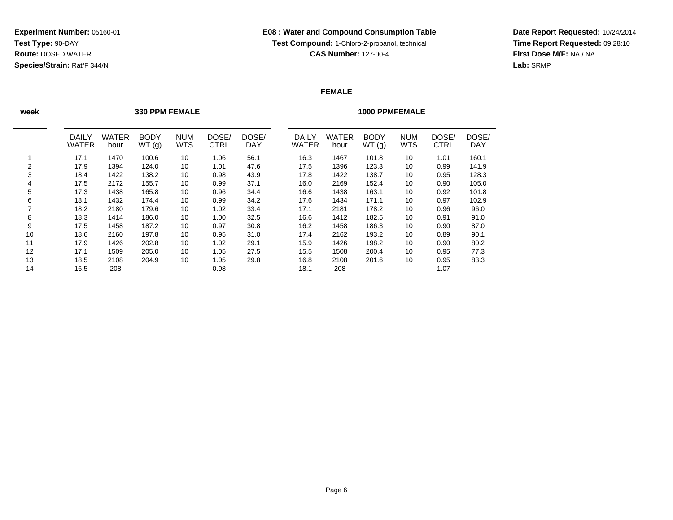**Date Report Requested:** 10/24/2014 **Time Report Requested:** 09:28:10**First Dose M/F:** NA / NA**Lab:** SRMP

#### **FEMALE**

| week |                              |                      | <b>330 PPM FEMALE</b> |                          |               |              | <b>1000 PPMFEMALE</b> |                      |                      |                          |                      |              |  |  |
|------|------------------------------|----------------------|-----------------------|--------------------------|---------------|--------------|-----------------------|----------------------|----------------------|--------------------------|----------------------|--------------|--|--|
|      | <b>DAILY</b><br><b>WATER</b> | <b>WATER</b><br>hour | <b>BODY</b><br>WT(g)  | <b>NUM</b><br><b>WTS</b> | DOSE/<br>CTRL | DOSE/<br>DAY | DAILY<br>WATER        | <b>WATER</b><br>hour | <b>BODY</b><br>WT(g) | <b>NUM</b><br><b>WTS</b> | DOSE/<br><b>CTRL</b> | DOSE/<br>DAY |  |  |
|      | 17.1                         | 1470                 | 100.6                 | 10                       | 1.06          | 56.1         | 16.3                  | 1467                 | 101.8                | 10                       | 1.01                 | 160.1        |  |  |
| 2    | 17.9                         | 1394                 | 124.0                 | 10                       | 1.01          | 47.6         | 17.5                  | 1396                 | 123.3                | 10                       | 0.99                 | 141.9        |  |  |
| 3    | 18.4                         | 1422                 | 138.2                 | 10                       | 0.98          | 43.9         | 17.8                  | 1422                 | 138.7                | 10                       | 0.95                 | 128.3        |  |  |
| 4    | 17.5                         | 2172                 | 155.7                 | 10                       | 0.99          | 37.1         | 16.0                  | 2169                 | 152.4                | 10                       | 0.90                 | 105.0        |  |  |
| 5    | 17.3                         | 1438                 | 165.8                 | 10                       | 0.96          | 34.4         | 16.6                  | 1438                 | 163.1                | 10                       | 0.92                 | 101.8        |  |  |
| 6    | 18.1                         | 1432                 | 174.4                 | 10                       | 0.99          | 34.2         | 17.6                  | 1434                 | 171.1                | 10                       | 0.97                 | 102.9        |  |  |
|      | 18.2                         | 2180                 | 179.6                 | 10                       | 1.02          | 33.4         | 17.1                  | 2181                 | 178.2                | 10                       | 0.96                 | 96.0         |  |  |
| 8    | 18.3                         | 1414                 | 186.0                 | 10                       | 1.00          | 32.5         | 16.6                  | 1412                 | 182.5                | 10                       | 0.91                 | 91.0         |  |  |
| 9    | 17.5                         | 1458                 | 187.2                 | 10                       | 0.97          | 30.8         | 16.2                  | 1458                 | 186.3                | 10                       | 0.90                 | 87.0         |  |  |
| 10   | 18.6                         | 2160                 | 197.8                 | 10                       | 0.95          | 31.0         | 17.4                  | 2162                 | 193.2                | 10                       | 0.89                 | 90.1         |  |  |
| 11   | 17.9                         | 1426                 | 202.8                 | 10                       | 1.02          | 29.1         | 15.9                  | 1426                 | 198.2                | 10                       | 0.90                 | 80.2         |  |  |
| 12   | 17.1                         | 1509                 | 205.0                 | 10                       | 1.05          | 27.5         | 15.5                  | 1508                 | 200.4                | 10                       | 0.95                 | 77.3         |  |  |
| 13   | 18.5                         | 2108                 | 204.9                 | 10                       | 1.05          | 29.8         | 16.8                  | 2108                 | 201.6                | 10                       | 0.95                 | 83.3         |  |  |
| 14   | 16.5                         | 208                  |                       |                          | 0.98          |              | 18.1                  | 208                  |                      |                          | 1.07                 |              |  |  |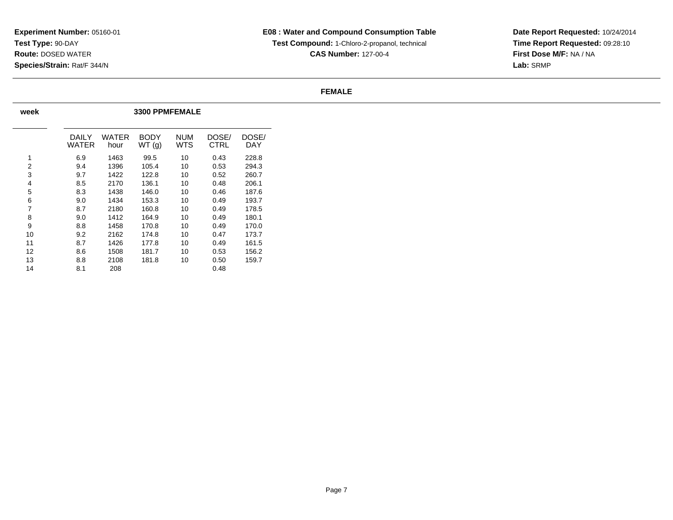**CAS Number:** 127-00-4

**Date Report Requested:** 10/24/2014 **Time Report Requested:** 09:28:10**First Dose M/F:** NA / NA**Lab:** SRMP

#### **FEMALE**

| week |                |               | <b>3300 PPMFEMALE</b> |                   |               |              |
|------|----------------|---------------|-----------------------|-------------------|---------------|--------------|
|      | DAILY<br>WATER | WATER<br>hour | <b>BODY</b><br>WT(g)  | <b>NUM</b><br>WTS | DOSE/<br>CTRL | DOSE/<br>DAY |
| 1    | 6.9            | 1463          | 99.5                  | 10                | 0.43          | 228.8        |
| 2    | 9.4            | 1396          | 105.4                 | 10                | 0.53          | 294.3        |
| 3    | 9.7            | 1422          | 122.8                 | 10                | 0.52          | 260.7        |
| 4    | 8.5            | 2170          | 136.1                 | 10                | 0.48          | 206.1        |
| 5    | 8.3            | 1438          | 146.0                 | 10                | 0.46          | 187.6        |
| 6    | 9.0            | 1434          | 153.3                 | 10                | 0.49          | 193.7        |
| 7    | 8.7            | 2180          | 160.8                 | 10                | 0.49          | 178.5        |
| 8    | 9.0            | 1412          | 164.9                 | 10                | 0.49          | 180.1        |
| 9    | 8.8            | 1458          | 170.8                 | 10                | 0.49          | 170.0        |
| 10   | 9.2            | 2162          | 174.8                 | 10                | 0.47          | 173.7        |
| 11   | 8.7            | 1426          | 177.8                 | 10                | 0.49          | 161.5        |
| 12   | 8.6            | 1508          | 181.7                 | 10                | 0.53          | 156.2        |
| 13   | 8.8            | 2108          | 181.8                 | 10                | 0.50          | 159.7        |
| 14   | 8.1            | 208           |                       |                   | 0.48          |              |